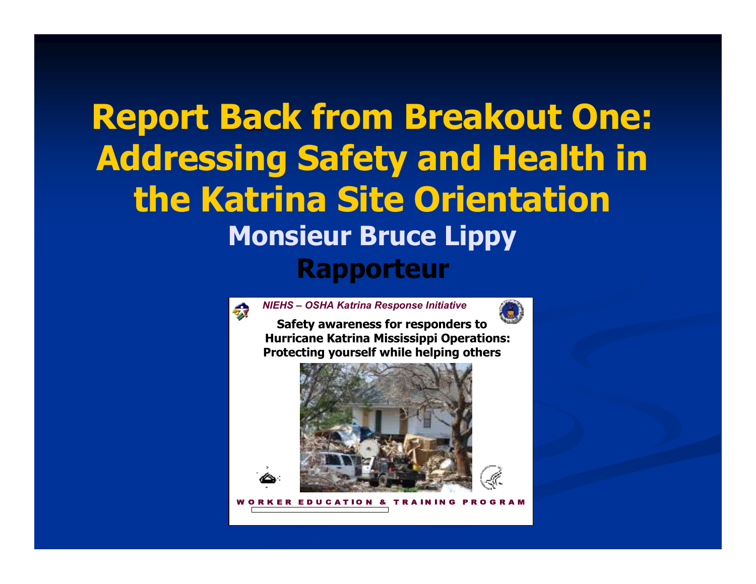## Report Back from Breakout One: Addressing Safety and Health in the Katrina Site Orientation Monsieur Bruce Lippy Rapporteur



NIEHS – OSHA Katrina Response Initiative

Safety awareness for responders to Hurricane Katrina Mississippi Operations: Protecting yourself while helping others

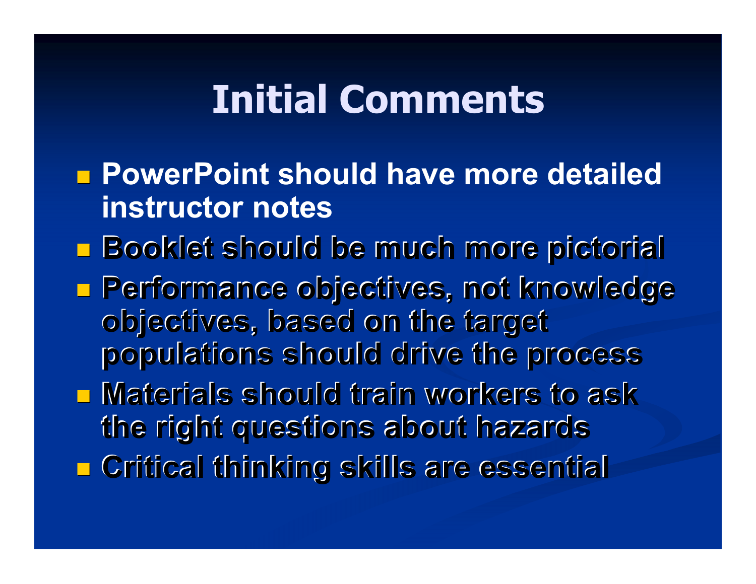# Initial Comments

- **<u></u>** PowerPoint should have more detailed instructor notes
- Booklet should be much more pictorial
- Performance objectives, not knowledge objectives, based on the target populations should drive the process
- Materials should train workers to ask ■ Critical thinking skills are essential the right questions about hazards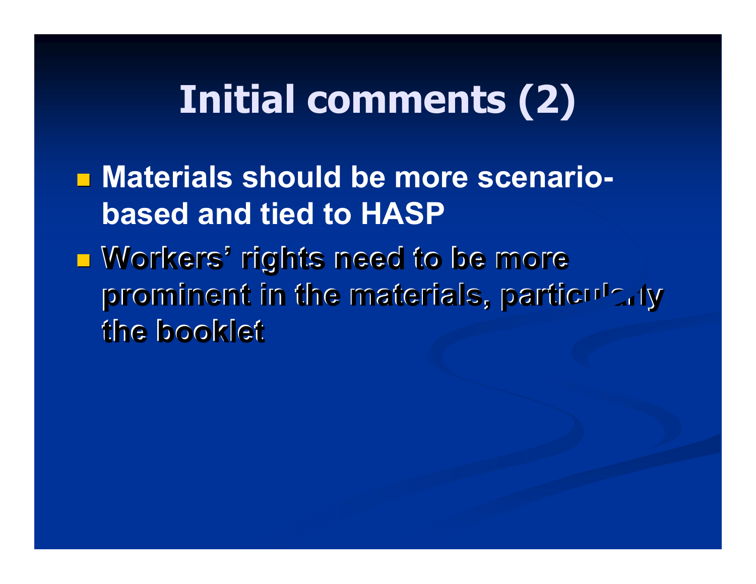# Initial comments (2)

■ Materials should be more scenariobased and tied to HASP

 $\blacksquare$  **Workers' rights need to be more** prominent in the materials, particularly the booklet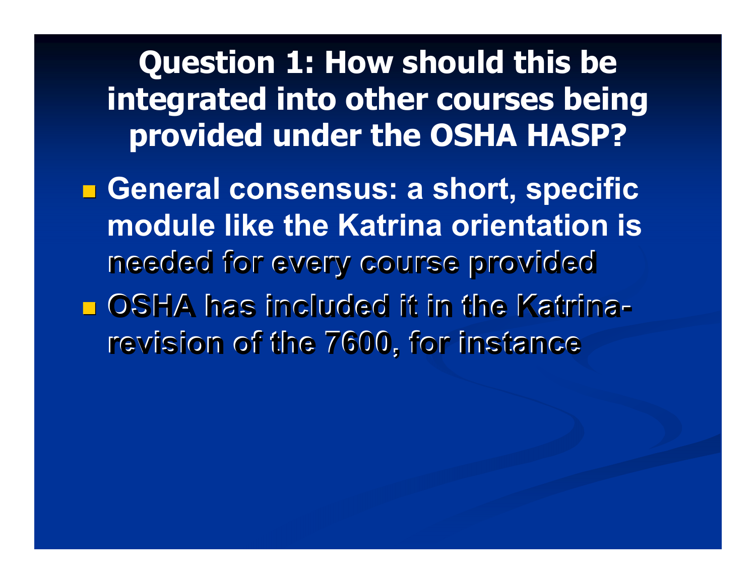#### Question 1: How should this be integrated into other courses being provided under the OSHA HASP?

■ General consensus: a short, specific �OSHA has included it in the Katrinamodule like the Katrina orientation is needed for every course provided

revision of the 7600, for instance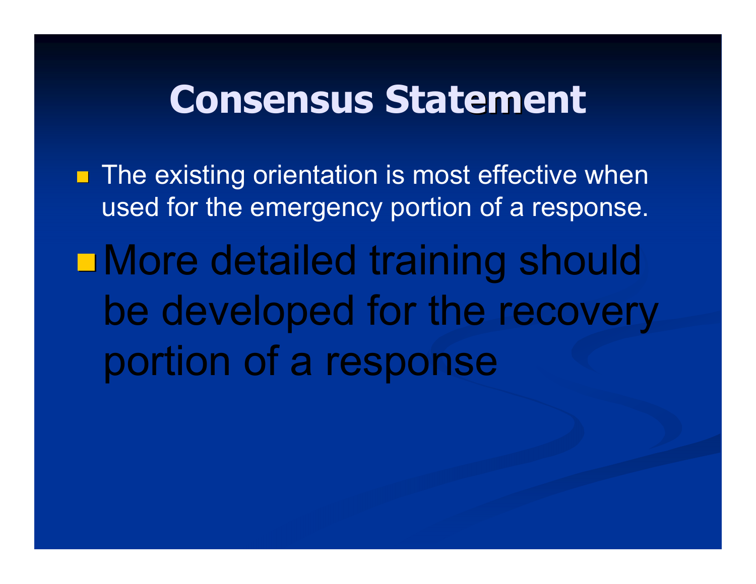## Consensus Statement

**The existing orientation is most effective when** used for the emergency portion of <sup>a</sup> response. More detailed training should be developed for the recovery portion of <sup>a</sup> response  $\mathcal{P}(\mathcal{P})$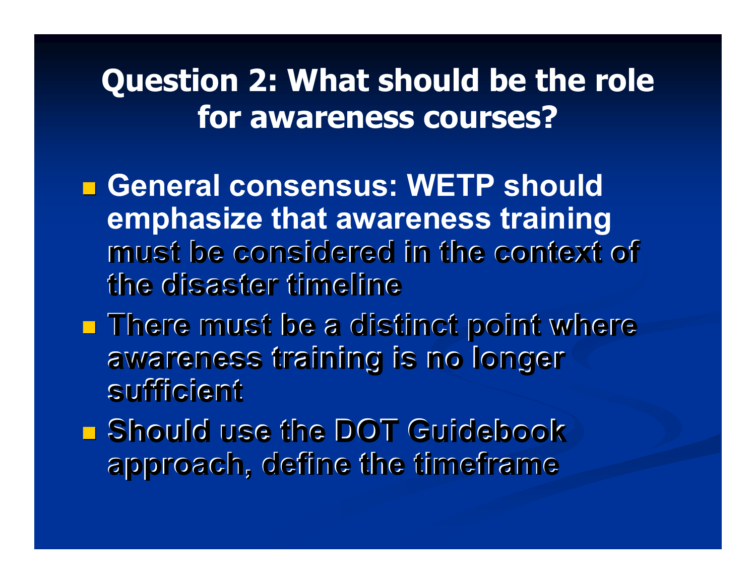#### Question 2: What should be the role for awareness courses?

■ General consensus: WETP should emphasize that awareness training must be considered in the context of the disaster timeline

- There must be a distinct point where awareness training is no longer sufficient
- Should use the DOT Guidebook �approach, define the timeframe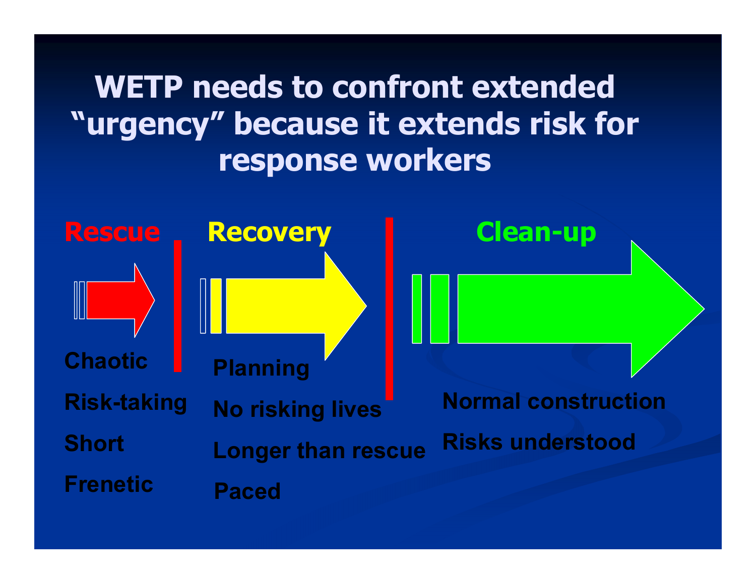#### WETP needs to confront extended "urgency" because it extends risk for response workers

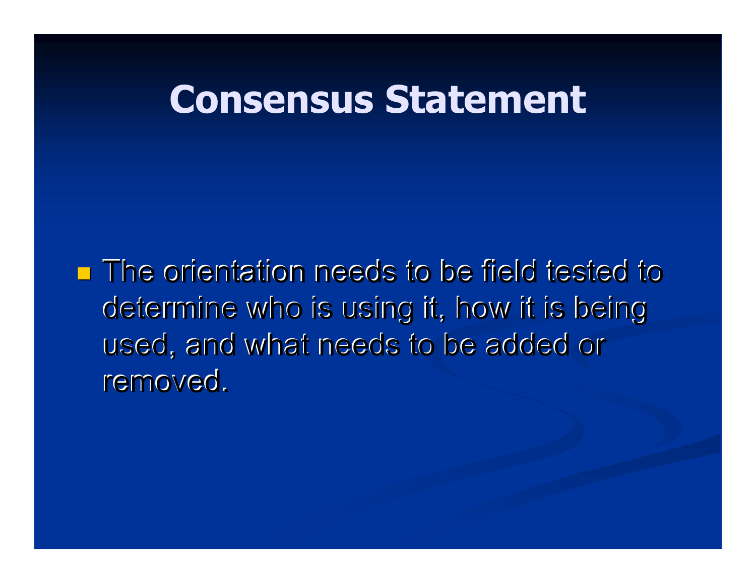## Consensus Statement

■ The orientation needs to be field tested to determine who is using it, how it is being used, and what needs to be added or removed.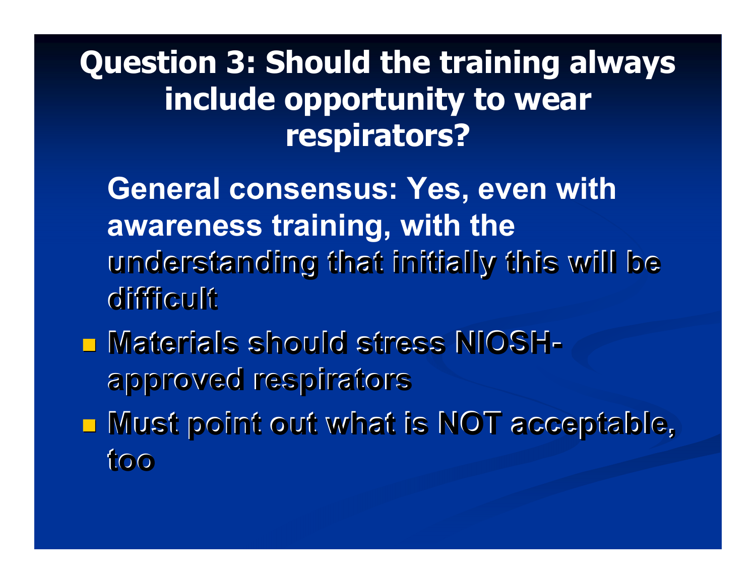#### Question 3: Should the training always include opportunity to wear respirators?

General consensus: Yes, even with awareness training, with the understanding that initially this will be difficult

- �Materials should stress NIOSHapproved respirators
- Must point out what is NOT acceptable, too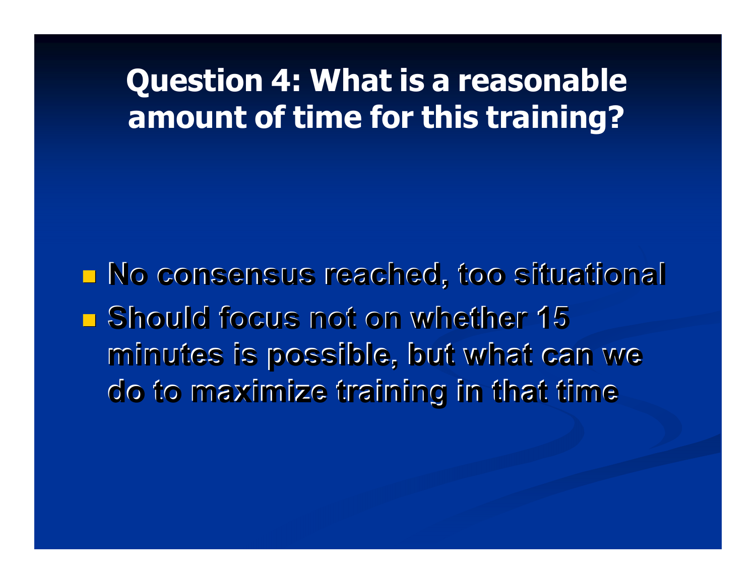# Question 4: What is <sup>a</sup> reasonable amount of time for this training?

■ No consensus reached, too situational **\_ Should focus not on whether 15** minutes is possible, but what can we do to maximize training in that time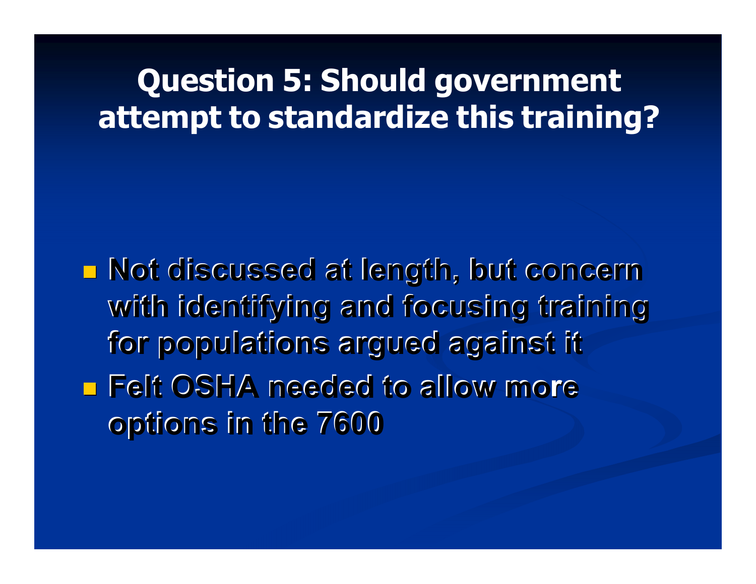# Question 5: Should government attempt to standardize this training?

■ Not discussed at length, but concern ■ Felt OSHA needed to allow more with identifying and focusing training for populations argued against it options in the 7600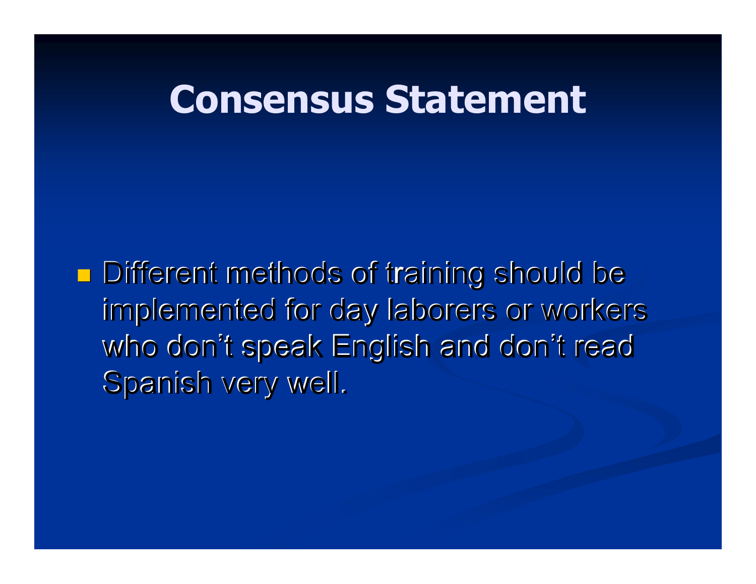## Consensus Statement

�**Different methods of training should be** implemented for day laborers or workers who don't speak English and don't read Spanish very well.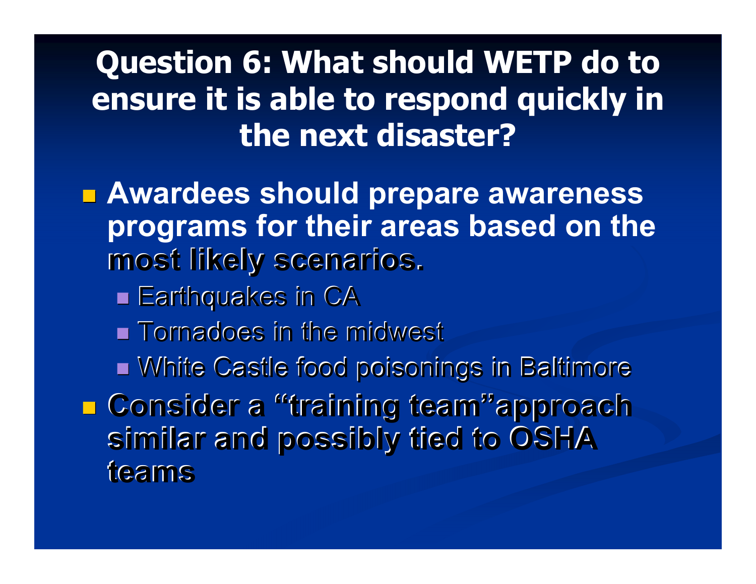#### Question 6: What should WETP do to ensure it is able to respond quickly in the next disaster?

■ Awardees should prepare awareness programs for their areas based on the most likely scenarios.

- Earthquakes in CA
- $\blacksquare$  Tornadoes in the midwest
- White Castle food poisonings in Baltimore

■ Consider a "training team"approach similar and possibly tied to OSHA teams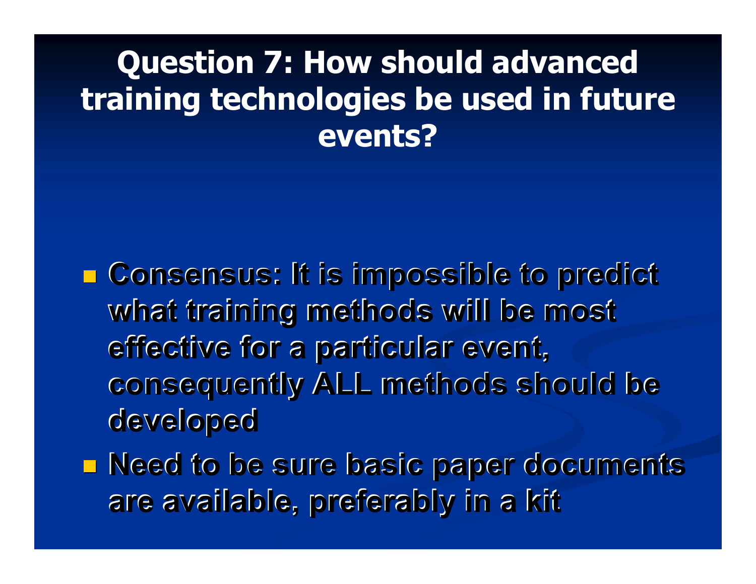#### Question 7: How should advanced training technologies be used in future events?

■ Consensus: It is impossible to predict what training methods will be most effective for <sup>a</sup> particular event, consequently ALL methods should be developed

■ Need to be sure basic paper documents are available, preferably in <sup>a</sup> kit